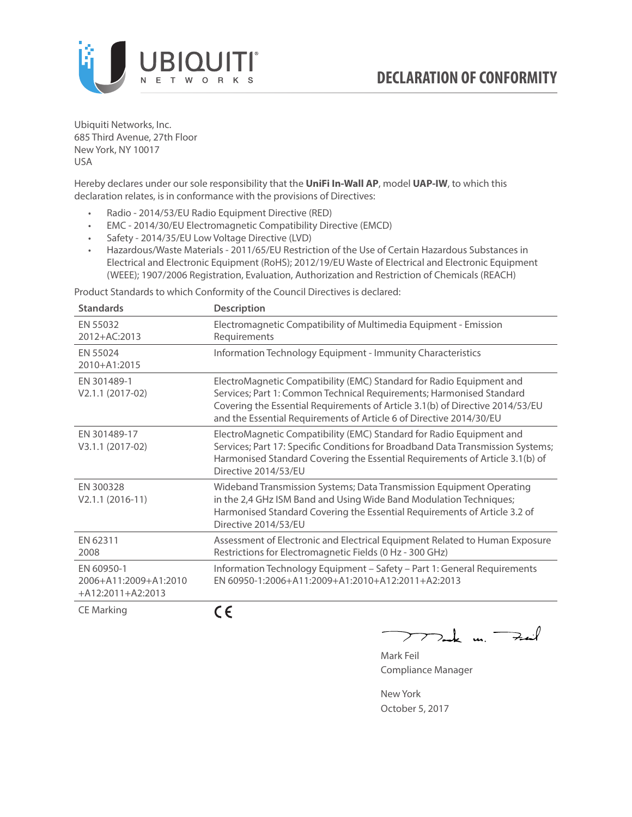

Ubiquiti Networks, Inc. 685 Third Avenue, 27th Floor New York, NY 10017 USA

Hereby declares under our sole responsibility that the **UniFi In-Wall AP**, model **UAP-IW**, to which this declaration relates, is in conformance with the provisions of Directives:

- Radio 2014/53/EU Radio Equipment Directive (RED)
- EMC 2014/30/EU Electromagnetic Compatibility Directive (EMCD)
- Safety 2014/35/EU Low Voltage Directive (LVD)
- Hazardous/Waste Materials 2011/65/EU Restriction of the Use of Certain Hazardous Substances in Electrical and Electronic Equipment (RoHS); 2012/19/EU Waste of Electrical and Electronic Equipment (WEEE); 1907/2006 Registration, Evaluation, Authorization and Restriction of Chemicals (REACH)

Product Standards to which Conformity of the Council Directives is declared:

| <b>Standards</b>                                           | <b>Description</b>                                                                                                                                                                                                                                                                                   |
|------------------------------------------------------------|------------------------------------------------------------------------------------------------------------------------------------------------------------------------------------------------------------------------------------------------------------------------------------------------------|
| EN 55032<br>2012+AC:2013                                   | Electromagnetic Compatibility of Multimedia Equipment - Emission<br>Requirements                                                                                                                                                                                                                     |
| EN 55024<br>2010+A1:2015                                   | Information Technology Equipment - Immunity Characteristics                                                                                                                                                                                                                                          |
| EN 301489-1<br>V2.1.1 (2017-02)                            | ElectroMagnetic Compatibility (EMC) Standard for Radio Equipment and<br>Services; Part 1: Common Technical Requirements; Harmonised Standard<br>Covering the Essential Requirements of Article 3.1(b) of Directive 2014/53/EU<br>and the Essential Requirements of Article 6 of Directive 2014/30/EU |
| EN 301489-17<br>V3.1.1 (2017-02)                           | ElectroMagnetic Compatibility (EMC) Standard for Radio Equipment and<br>Services; Part 17: Specific Conditions for Broadband Data Transmission Systems;<br>Harmonised Standard Covering the Essential Requirements of Article 3.1(b) of<br>Directive 2014/53/EU                                      |
| EN 300328<br>$V2.1.1 (2016-11)$                            | Wideband Transmission Systems; Data Transmission Equipment Operating<br>in the 2,4 GHz ISM Band and Using Wide Band Modulation Techniques;<br>Harmonised Standard Covering the Essential Requirements of Article 3.2 of<br>Directive 2014/53/EU                                                      |
| EN 62311<br>2008                                           | Assessment of Electronic and Electrical Equipment Related to Human Exposure<br>Restrictions for Electromagnetic Fields (0 Hz - 300 GHz)                                                                                                                                                              |
| EN 60950-1<br>2006+A11:2009+A1:2010<br>$+A12:2011+A2:2013$ | Information Technology Equipment - Safety - Part 1: General Requirements<br>FN 60950-1:2006+A11:2009+A1:2010+A12:2011+A2:2013                                                                                                                                                                        |
| CTMA                                                       | $\epsilon$                                                                                                                                                                                                                                                                                           |

CE Marking

CE

 $2$ the un Fait  $\blacktriangleright$  $\overline{\phantom{a}}$ 

Mark Feil Compliance Manager

New York October 5, 2017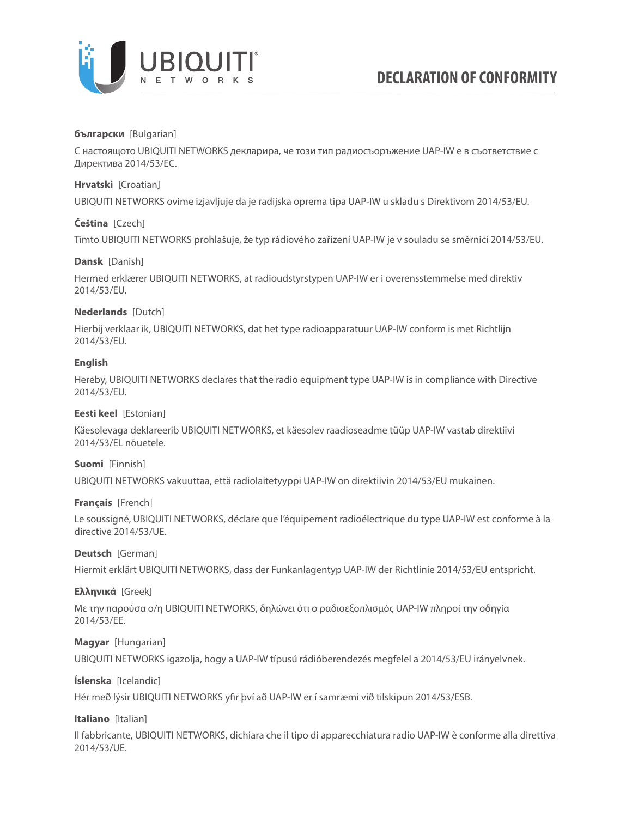

### **български** [Bulgarian]

С настоящото UBIQUITI NETWORKS декларира, че този тип радиосъоръжение UAP-IW е в съответствие с Директива 2014/53/ЕС.

### **Hrvatski** [Croatian]

UBIQUITI NETWORKS ovime izjavljuje da je radijska oprema tipa UAP-IW u skladu s Direktivom 2014/53/EU.

# **Čeština** [Czech]

Tímto UBIQUITI NETWORKS prohlašuje, že typ rádiového zařízení UAP-IW je v souladu se směrnicí 2014/53/EU.

### **Dansk** [Danish]

Hermed erklærer UBIQUITI NETWORKS, at radioudstyrstypen UAP-IW er i overensstemmelse med direktiv 2014/53/EU.

# **Nederlands** [Dutch]

Hierbij verklaar ik, UBIQUITI NETWORKS, dat het type radioapparatuur UAP-IW conform is met Richtlijn 2014/53/EU.

# **English**

Hereby, UBIQUITI NETWORKS declares that the radio equipment type UAP-IW is in compliance with Directive 2014/53/EU.

### **Eesti keel** [Estonian]

Käesolevaga deklareerib UBIQUITI NETWORKS, et käesolev raadioseadme tüüp UAP-IW vastab direktiivi 2014/53/EL nõuetele.

### **Suomi** [Finnish]

UBIQUITI NETWORKS vakuuttaa, että radiolaitetyyppi UAP-IW on direktiivin 2014/53/EU mukainen.

### **Français** [French]

Le soussigné, UBIQUITI NETWORKS, déclare que l'équipement radioélectrique du type UAP-IW est conforme à la directive 2014/53/UE.

### **Deutsch** [German]

Hiermit erklärt UBIQUITI NETWORKS, dass der Funkanlagentyp UAP-IW der Richtlinie 2014/53/EU entspricht.

### **Ελληνικά** [Greek]

Με την παρούσα ο/η UBIQUITI NETWORKS, δηλώνει ότι ο ραδιοεξοπλισμός UAP-IW πληροί την οδηγία 2014/53/ΕΕ.

### **Magyar** [Hungarian]

UBIQUITI NETWORKS igazolja, hogy a UAP-IW típusú rádióberendezés megfelel a 2014/53/EU irányelvnek.

### **Íslenska** [Icelandic]

Hér með lýsir UBIQUITI NETWORKS yfir því að UAP-IW er í samræmi við tilskipun 2014/53/ESB.

### **Italiano** [Italian]

Il fabbricante, UBIQUITI NETWORKS, dichiara che il tipo di apparecchiatura radio UAP-IW è conforme alla direttiva 2014/53/UE.